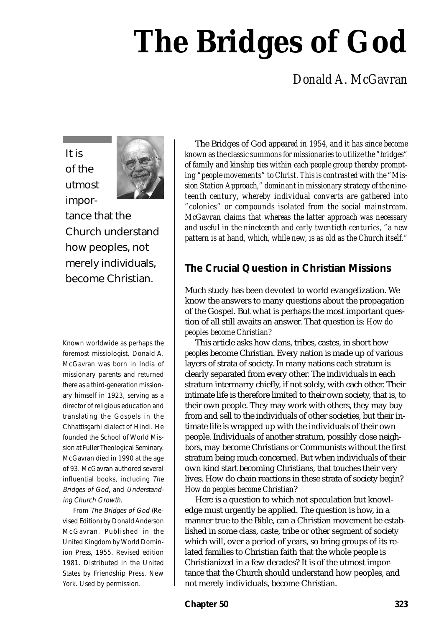# **The Bridges of God**

*Donald A. McGavran*

It is of the utmost impor-



tance that the Church understand how peoples, not merely individuals, become Christian.

Known worldwide as perhaps the foremost missiologist, Donald A. McGavran was born in India of missionary parents and returned there as a third-generation missionary himself in 1923, serving as a director of religious education and translating the Gospels in the Chhattisgarhi dialect of Hindi. He founded the School of World Mission at Fuller Theological Seminary. McGavran died in 1990 at the age of 93. McGavran authored several influential books, including The Bridges of God, and Understanding Church Growth.

From The Bridges of God (Revised Edition) by Donald Anderson McGavran. Published in the United Kingdom by World Dominion Press, 1955. Revised edition 1981. Distributed in the United States by Friendship Press, New York. Used by permission.

The Bridges of God *appeared in 1954, and it has since become known as the classic summons for missionaries to utilize the "bridges" of family and kinship ties within each people group thereby prompting "people movements" to Christ. This is contrasted with the "Mission Station Approach," dominant in missionary strategy of the nineteenth century, whereby individual converts are gathered into "colonies" or compounds isolated from the social mainstream. McGavran claims that whereas the latter approach was necessary and useful in the nineteenth and early twentieth centuries, "a new pattern is at hand, which, while new, is as old as the Church itself."*

# **The Crucial Question in Christian Missions**

Much study has been devoted to world evangelization. We know the answers to many questions about the propagation of the Gospel. But what is perhaps the most important question of all still awaits an answer. That question is: *How do peoples become Christian?*

This article asks how clans, tribes, castes, in short how *peoples* become Christian. Every nation is made up of various layers of strata of society. In many nations each stratum is clearly separated from every other. The individuals in each stratum intermarry chiefly, if not solely, with each other. Their intimate life is therefore limited to their own society, that is, to their own people. They may work with others, they may buy from and sell to the individuals of other societies, but their intimate life is wrapped up with the individuals of their own people. Individuals of another stratum, possibly close neighbors, may become Christians or Communists without the first stratum being much concerned. But when individuals of their own kind start becoming Christians, that touches their very lives. How do chain reactions in these strata of society begin? *How do peoples become Christian*?

Here is a question to which not speculation but knowledge must urgently be applied. The question is how, in a manner true to the Bible, can a Christian movement be established in some class, caste, tribe or other segment of society which will, over a period of years, so bring groups of its related families to Christian faith that the whole people is Christianized in a few decades? It is of the utmost importance that the Church should understand how peoples, and not merely individuals, become Christian.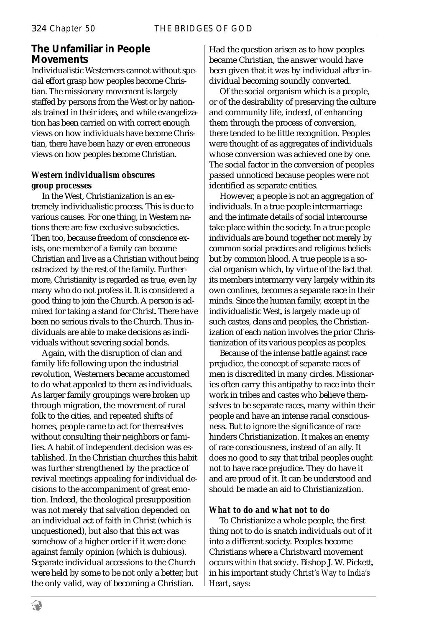# **The Unfamiliar in People Movements**

Individualistic Westerners cannot without special effort grasp how peoples become Christian. The missionary movement is largely staffed by persons from the West or by nationals trained in their ideas, and while evangelization has been carried on with correct enough views on how individuals have become Christian, there have been hazy or even erroneous views on how peoples become Christian.

# *Western individualism obscures group processes*

In the West, Christianization is an extremely individualistic process. This is due to various causes. For one thing, in Western nations there are few exclusive subsocieties. Then too, because freedom of conscience exists, one member of a family can become Christian and live as a Christian without being ostracized by the rest of the family. Furthermore, Christianity is regarded as true, even by many who do not profess it. It is considered a good thing to join the Church. A person is admired for taking a stand for Christ. There have been no serious rivals to the Church. Thus individuals are able to make decisions as individuals without severing social bonds.

Again, with the disruption of clan and family life following upon the industrial revolution, Westerners became accustomed to do what appealed to them as individuals. As larger family groupings were broken up through migration, the movement of rural folk to the cities, and repeated shifts of homes, people came to act for themselves without consulting their neighbors or families. A habit of independent decision was established. In the Christian churches this habit was further strengthened by the practice of revival meetings appealing for individual decisions to the accompaniment of great emotion. Indeed, the theological presupposition was not merely that salvation depended on an individual act of faith in Christ (which is unquestioned), but also that this act was somehow of a higher order if it were done against family opinion (which is dubious). Separate individual accessions to the Church were held by some to be not only a better, but the only valid, way of becoming a Christian.

Had the question arisen as to how peoples became Christian, the answer would have been given that it was by individual after individual becoming soundly converted.

Of the social organism which is a people, or of the desirability of preserving the culture and community life, indeed, of enhancing them through the process of conversion, there tended to be little recognition. Peoples were thought of as aggregates of individuals whose conversion was achieved one by one. The social factor in the conversion of peoples passed unnoticed because peoples were not identified as separate entities.

However, a people is not an aggregation of individuals. In a true people intermarriage and the intimate details of social intercourse take place within the society. In a true people individuals are bound together not merely by common social practices and religious beliefs but by common blood. A true people is a social organism which, by virtue of the fact that its members intermarry very largely within its own confines, becomes a separate race in their minds. Since the human family, except in the individualistic West, is largely made up of such castes, clans and peoples, the Christianization of each nation involves the prior Christianization of its various peoples as peoples.

Because of the intense battle against race prejudice, the concept of separate races of men is discredited in many circles. Missionaries often carry this antipathy to race into their work in tribes and castes who believe themselves to be separate races, marry within their people and have an intense racial consciousness. But to ignore the significance of race hinders Christianization. It makes an enemy of race consciousness, instead of an ally. It does no good to say that tribal peoples ought not to have race prejudice. They do have it and are proud of it. It can be understood and should be made an aid to Christianization.

## *What to do and what not to do*

To Christianize a whole people, the first thing not to do is snatch individuals out of it into a different society. Peoples become Christians where a Christward movement occurs *within that society*. Bishop J. W. Pickett, in his important study *Christ's Way to India's Heart*, says:

€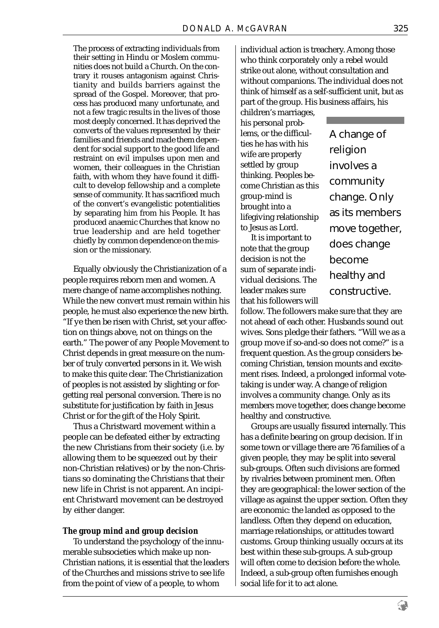The process of extracting individuals from their setting in Hindu or Moslem communities does not build a Church. On the contrary it rouses antagonism against Christianity and builds barriers against the spread of the Gospel. Moreover, that process has produced many unfortunate, and not a few tragic results in the lives of those most deeply concerned. It has deprived the converts of the values represented by their families and friends and made them dependent for social support to the good life and restraint on evil impulses upon men and women, their colleagues in the Christian faith, with whom they have found it difficult to develop fellowship and a complete sense of community. It has sacrificed much of the convert's evangelistic potentialities by separating him from his People. It has produced anaemic Churches that know no true leadership and are held together chiefly by common dependence on the mission or the missionary.

Equally obviously the Christianization of a people requires reborn men and women. A mere change of name accomplishes nothing. While the new convert must remain within his people, he must also experience the new birth. "If ye then be risen with Christ, set your affection on things above, not on things on the earth." The power of any People Movement to Christ depends in great measure on the number of truly converted persons in it. We wish to make this quite clear. The Christianization of peoples is not assisted by slighting or forgetting real personal conversion. There is no substitute for justification by faith in Jesus Christ or for the gift of the Holy Spirit.

Thus a Christward movement within a people can be defeated either by extracting the new Christians from their society (i.e. by allowing them to be squeezed out by their non-Christian relatives) or by the non-Christians so dominating the Christians that their new life in Christ is not apparent. An incipient Christward movement can be destroyed by either danger.

#### *The group mind and group decision*

To understand the psychology of the innumerable subsocieties which make up non-Christian nations, it is essential that the leaders of the Churches and missions strive to see life from the point of view of a people, to whom

individual action is treachery. Among those who think corporately only a rebel would strike out alone, without consultation and without companions. The individual does not think of himself as a self-sufficient unit, but as part of the group. His business affairs, his

children's marriages, his personal problems, or the difficulties he has with his wife are properly settled by group thinking. Peoples become Christian as this group-mind is brought into a lifegiving relationship to Jesus as Lord.

It is important to note that the group decision is not the sum of separate individual decisions. The leader makes sure that his followers will A change of religion involves a community change. Only as its members move together, does change become healthy and constructive.

follow. The followers make sure that they are not ahead of each other. Husbands sound out wives. Sons pledge their fathers. "Will we as a group move if so-and-so does not come?" is a frequent question. As the group considers becoming Christian, tension mounts and excitement rises. Indeed, a prolonged informal votetaking is under way. A change of religion involves a community change. Only as its members move together, does change become healthy and constructive.

Groups are usually fissured internally. This has a definite bearing on group decision. If in some town or village there are 76 families of a given people, they may be split into several sub-groups. Often such divisions are formed by rivalries between prominent men. Often they are geographical: the lower section of the village as against the upper section. Often they are economic: the landed as opposed to the landless. Often they depend on education, marriage relationships, or attitudes toward customs. Group thinking usually occurs at its best within these sub-groups. A sub-group will often come to decision before the whole. Indeed, a sub-group often furnishes enough social life for it to act alone.

 $\bigcirc$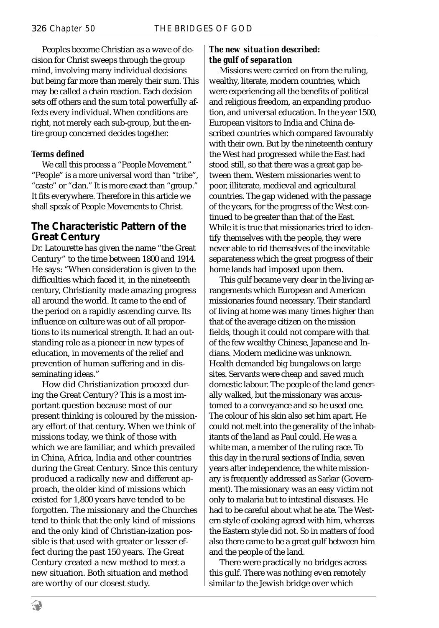Peoples become Christian as a wave of decision for Christ sweeps through the group mind, involving many individual decisions but being far more than merely their sum. This may be called a chain reaction. Each decision sets off others and the sum total powerfully affects every individual. When conditions are right, not merely each sub-group, but the entire group concerned decides together.

#### *Terms defined*

We call this process a "People Movement." "People" is a more universal word than "tribe", "caste" or "clan." It is more exact than "group." It fits everywhere. Therefore in this article we shall speak of People Movements to Christ.

# **The Characteristic Pattern of the Great Century**

Dr. Latourette has given the name "the Great Century" to the time between 1800 and 1914. He says: "When consideration is given to the difficulties which faced it, in the nineteenth century, Christianity made amazing progress all around the world. It came to the end of the period on a rapidly ascending curve. Its influence on culture was out of all proportions to its numerical strength. It had an outstanding role as a pioneer in new types of education, in movements of the relief and prevention of human suffering and in disseminating ideas."

How did Christianization proceed during the Great Century? This is a most important question because most of our present thinking is coloured by the missionary effort of that century. When we think of missions today, we think of those with which we are familiar, and which prevailed in China, Africa, India and other countries during the Great Century. Since this century produced a radically new and different approach, the older kind of missions which existed for 1,800 years have tended to be forgotten. The missionary and the Churches tend to think that the only kind of missions and the only kind of Christian-ization possible is that used with greater or lesser effect during the past 150 years. The Great Century created a new method to meet a new situation. Both situation and method are worthy of our closest study.

## *The new situation described: the gulf of separation*

Missions were carried on from the ruling, wealthy, literate, modern countries, which were experiencing all the benefits of political and religious freedom, an expanding production, and universal education. In the year 1500, European visitors to India and China described countries which compared favourably with their own. But by the nineteenth century the West had progressed while the East had stood still, so that there was a great gap between them. Western missionaries went to poor, illiterate, medieval and agricultural countries. The gap widened with the passage of the years, for the progress of the West continued to be greater than that of the East. While it is true that missionaries tried to identify themselves with the people, they were never able to rid themselves of the inevitable separateness which the great progress of their home lands had imposed upon them.

This gulf became very clear in the living arrangements which European and American missionaries found necessary. Their standard of living at home was many times higher than that of the average citizen on the mission fields, though it could not compare with that of the few wealthy Chinese, Japanese and Indians. Modern medicine was unknown. Health demanded big bungalows on large sites. Servants were cheap and saved much domestic labour. The people of the land generally walked, but the missionary was accustomed to a conveyance and so he used one. The colour of his skin also set him apart. He could not melt into the generality of the inhabitants of the land as Paul could. He was a white man, a member of the ruling race. To this day in the rural sections of India, seven years after independence, the white missionary is frequently addressed as *Sarkar* (Government). The missionary was an easy victim not only to malaria but to intestinal diseases. He had to be careful about what he ate. The Western style of cooking agreed with him, whereas the Eastern style did not. So in matters of food also there came to be a great gulf between him and the people of the land.

There were practically no bridges across this gulf. There was nothing even remotely similar to the Jewish bridge over which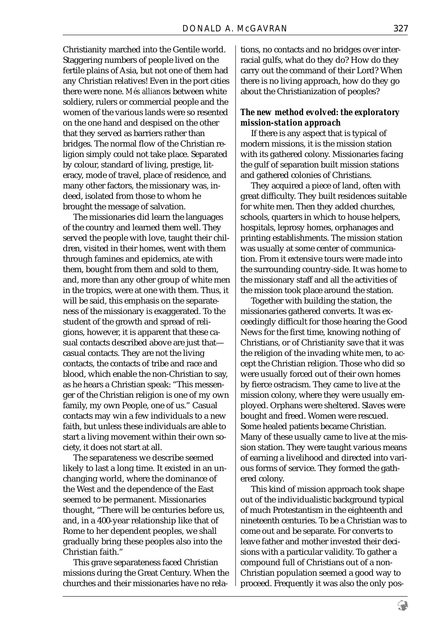Christianity marched into the Gentile world. Staggering numbers of people lived on the fertile plains of Asia, but not one of them had any Christian relatives! Even in the port cities there were none. *Més alliances* between white soldiery, rulers or commercial people and the women of the various lands were so resented on the one hand and despised on the other that they served as barriers rather than bridges. The normal flow of the Christian religion simply could not take place. Separated by colour, standard of living, prestige, literacy, mode of travel, place of residence, and many other factors, the missionary was, indeed, isolated from those to whom he brought the message of salvation.

The missionaries did learn the languages of the country and learned them well. They served the people with love, taught their children, visited in their homes, went with them through famines and epidemics, ate with them, bought from them and sold to them, and, more than any other group of white men in the tropics, were at one with them. Thus, it will be said, this emphasis on the separateness of the missionary is exaggerated. To the student of the growth and spread of religions, however, it is apparent that these casual contacts described above are just that casual contacts. They are not the living contacts, the contacts of tribe and race and blood, which enable the non-Christian to say, as he hears a Christian speak: "This messenger of the Christian religion is one of my own family, my own People, one of us." Casual contacts may win a few individuals to a new faith, but unless these individuals are able to start a living movement within their own society, it does not start at all.

The separateness we describe seemed likely to last a long time. It existed in an unchanging world, where the dominance of the West and the dependence of the East seemed to be permanent. Missionaries thought, "There will be centuries before us, and, in a 400-year relationship like that of Rome to her dependent peoples, we shall gradually bring these peoples also into the Christian faith."

This grave separateness faced Christian missions during the Great Century. When the churches and their missionaries have no relations, no contacts and no bridges over interracial gulfs, what do they do? How do they carry out the command of their Lord? When there is no living approach, how do they go about the Christianization of peoples?

#### *The new method evolved: the exploratory mission-station approach*

If there is any aspect that is typical of modern missions, it is the mission station with its gathered colony. Missionaries facing the gulf of separation built mission stations and gathered colonies of Christians.

They acquired a piece of land, often with great difficulty. They built residences suitable for white men. Then they added churches, schools, quarters in which to house helpers, hospitals, leprosy homes, orphanages and printing establishments. The mission station was usually at some center of communication. From it extensive tours were made into the surrounding country-side. It was home to the missionary staff and all the activities of the mission took place around the station.

Together with building the station, the missionaries gathered converts. It was exceedingly difficult for those hearing the Good News for the first time, knowing nothing of Christians, or of Christianity save that it was the religion of the invading white men, to accept the Christian religion. Those who did so were usually forced out of their own homes by fierce ostracism. They came to live at the mission colony, where they were usually employed. Orphans were sheltered. Slaves were bought and freed. Women were rescued. Some healed patients became Christian. Many of these usually came to live at the mission station. They were taught various means of earning a livelihood and directed into various forms of service. They formed the gathered colony.

This kind of mission approach took shape out of the individualistic background typical of much Protestantism in the eighteenth and nineteenth centuries. To be a Christian was to come out and be separate. For converts to leave father and mother invested their decisions with a particular validity. To gather a compound full of Christians out of a non-Christian population seemed a good way to proceed. Frequently it was also the only pos-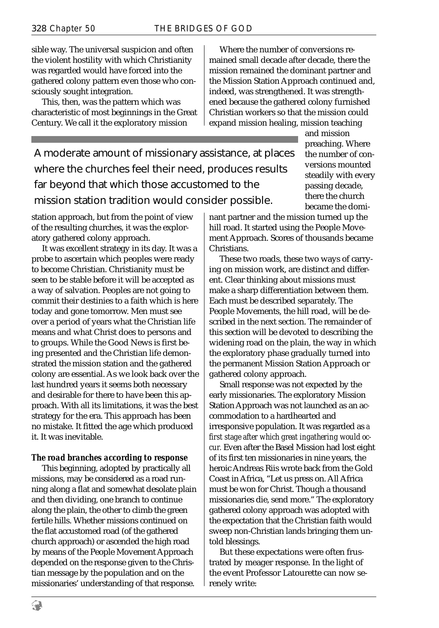sible way. The universal suspicion and often the violent hostility with which Christianity was regarded would have forced into the gathered colony pattern even those who consciously sought integration.

This, then, was the pattern which was characteristic of most beginnings in the Great Century. We call it the exploratory mission

Where the number of conversions remained small decade after decade, there the mission remained the dominant partner and the Mission Station Approach continued and, indeed, was strengthened. It was strengthened because the gathered colony furnished Christian workers so that the mission could expand mission healing, mission teaching

A moderate amount of missionary assistance, at places where the churches feel their need, produces results far beyond that which those accustomed to the mission station tradition would consider possible.

station approach, but from the point of view of the resulting churches, it was the exploratory gathered colony approach.

It was excellent strategy in its day. It was a probe to ascertain which peoples were ready to become Christian. Christianity must be seen to be stable before it will be accepted as a way of salvation. Peoples are not going to commit their destinies to a faith which is here today and gone tomorrow. Men must see over a period of years what the Christian life means and what Christ does to persons and to groups. While the Good News is first being presented and the Christian life demonstrated the mission station and the gathered colony are essential. As we look back over the last hundred years it seems both necessary and desirable for there to have been this approach. With all its limitations, it was the best strategy for the era. This approach has been no mistake. It fitted the age which produced it. It was inevitable.

#### *The road branches according to response*

This beginning, adopted by practically all missions, may be considered as a road running along a flat and somewhat desolate plain and then dividing, one branch to continue along the plain, the other to climb the green fertile hills. Whether missions continued on the flat accustomed road (of the gathered church approach) or ascended the high road by means of the People Movement Approach depended on the response given to the Christian message by the population and on the missionaries' understanding of that response.

and mission preaching. Where the number of conversions mounted steadily with every passing decade, there the church became the domi-

nant partner and the mission turned up the hill road. It started using the People Movement Approach. Scores of thousands became Christians.

These two roads, these two ways of carrying on mission work, are distinct and different. Clear thinking about missions must make a sharp differentiation between them. Each must be described separately. The People Movements, the hill road, will be described in the next section. The remainder of this section will be devoted to describing the widening road on the plain, the way in which the exploratory phase gradually turned into the permanent Mission Station Approach or gathered colony approach.

Small response was not expected by the early missionaries. The exploratory Mission Station Approach was not launched as an accommodation to a hardhearted and irresponsive population. It was regarded as *a first stage after which great ingathering would occur.* Even after the Basel Mission had lost eight of its first ten missionaries in nine years, the heroic Andreas Riis wrote back from the Gold Coast in Africa, "Let us press on. All Africa must be won for Christ. Though a thousand missionaries die, send more." The exploratory gathered colony approach was adopted with the expectation that the Christian faith would sweep non-Christian lands bringing them untold blessings.

But these expectations were often frustrated by meager response. In the light of the event Professor Latourette can now serenely write: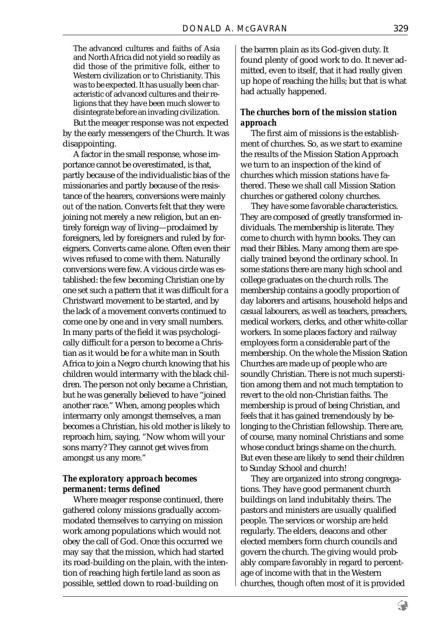The advanced cultures and faiths of Asia and North Africa did not yield so readily as did those of the primitive folk, either to Western civilization or to Christianity. This was to be expected. It has usually been characteristic of advanced cultures and their religions that they have been much slower to disintegrate before an invading civilization.

But the meager response was not expected by the early messengers of the Church. It was disappointing.

A factor in the small response, whose importance cannot be overestimated, is that, partly because of the individualistic bias of the missionaries and partly because of the resistance of the hearers, conversions were mainly *out* of the nation. Converts felt that they were joining not merely a new religion, but an entirely foreign way of living—proclaimed by foreigners, led by foreigners and ruled by foreigners. Converts came alone. Often even their wives refused to come with them. Naturally conversions were few. A vicious circle was established: the few becoming Christian one by one set such a pattern that it was difficult for a Christward movement to be started, and by the lack of a movement converts continued to come one by one and in very small numbers. In many parts of the field it was psychologically difficult for a person to become a Christian as it would be for a white man in South Africa to join a Negro church knowing that his children would intermarry with the black children. The person not only became a Christian, but he was generally believed to have "joined another race." When, among peoples which intermarry only amongst themselves, a man becomes a Christian, his old mother is likely to reproach him, saying, "Now whom will your sons marry? They cannot get wives from amongst us any more."

#### *The exploratory approach becomes permanent: terms defined*

Where meager response continued, there gathered colony missions gradually accommodated themselves to carrying on mission work among populations which would not obey the call of God. Once this occurred we may say that the mission, which had started its road-building on the plain, with the intention of reaching high fertile land as soon as possible, settled down to road-building on

the barren plain as its God-given duty. It found plenty of good work to do. It never admitted, even to itself, that it had really given up hope of reaching the hills; but that is what had actually happened.

#### *The churches born of the mission station approach*

The first aim of missions is the establishment of churches. So, as we start to examine the results of the Mission Station Approach we turn to an inspection of the kind of churches which mission stations have fathered. These we shall call Mission Station churches or gathered colony churches.

They have some favorable characteristics. They are composed of greatly transformed individuals. The membership is literate. They come to church with hymn books. They can read their Bibles. Many among them are specially trained beyond the ordinary school. In some stations there are many high school and college graduates on the church rolls. The membership contains a goodly proportion of day laborers and artisans, household helps and casual labourers, as well as teachers, preachers, medical workers, clerks, and other white-collar workers. In some places factory and railway employees form a considerable part of the membership. On the whole the Mission Station Churches are made up of people who are soundly Christian. There is not much superstition among them and not much temptation to revert to the old non-Christian faiths. The membership is proud of being Christian, and feels that it has gained tremendously by belonging to the Christian fellowship. There are, of course, many nominal Christians and some whose conduct brings shame on the church. But even these are likely to send their children to Sunday School and church!

They are organized into strong congregations. They have good permanent church buildings on land indubitably theirs. The pastors and ministers are usually qualified people. The services or worship are held regularly. The elders, deacons and other elected members form church councils and govern the church. The giving would probably compare favorably in regard to percentage of income with that in the Western churches, though often most of it is provided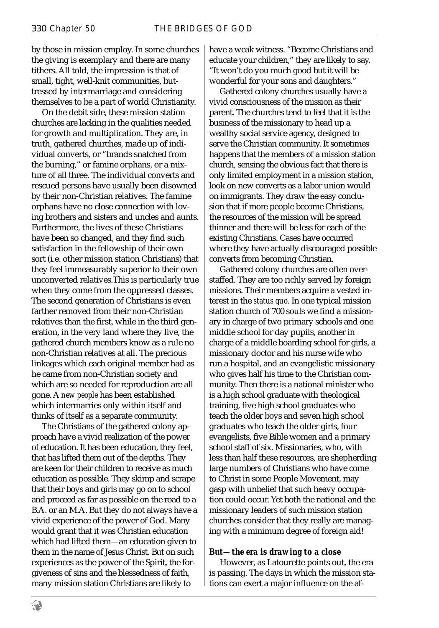by those in mission employ. In some churches the giving is exemplary and there are many tithers. All told, the impression is that of small, tight, well-knit communities, buttressed by intermarriage and considering themselves to be a part of world Christianity.

On the debit side, these mission station churches are lacking in the qualities needed for growth and multiplication. They are, in truth, gathered churches, made up of individual converts, or "brands snatched from the burning," or famine orphans, or a mixture of all three. The individual converts and rescued persons have usually been disowned by their non-Christian relatives. The famine orphans have no close connection with loving brothers and sisters and uncles and aunts. Furthermore, the lives of these Christians have been so changed, and they find such satisfaction in the fellowship of their own sort (i.e. other mission station Christians) that they feel immeasurably superior to their own unconverted relatives.This is particularly true when they come from the oppressed classes. The second generation of Christians is even farther removed from their non-Christian relatives than the first, while in the third generation, in the very land where they live, the gathered church members know as a rule no non-Christian relatives at all. The precious linkages which each original member had as he came from non-Christian society and which are so needed for reproduction are all gone. A *new people* has been established which intermarries only within itself and thinks of itself as a separate community.

The Christians of the gathered colony approach have a vivid realization of the power of education. It has been education, they feel, that has lifted them out of the depths. They are keen for their children to receive as much education as possible. They skimp and scrape that their boys and girls may go on to school and proceed as far as possible on the road to a B.A. or an M.A. But they do not always have a vivid experience of the power of God. Many would grant that it was Christian education which had lifted them—an education given to them in the name of Jesus Christ. But on such experiences as the power of the Spirit, the forgiveness of sins and the blessedness of faith, many mission station Christians are likely to

have a weak witness. "Become Christians and educate your children," they are likely to say. "It won't do you much good but it will be wonderful for your sons and daughters."

Gathered colony churches usually have a vivid consciousness of the mission as their parent. The churches tend to feel that it is the business of the missionary to head up a wealthy social service agency, designed to serve the Christian community. It sometimes happens that the members of a mission station church, sensing the obvious fact that there is only limited employment in a mission station, look on new converts as a labor union would on immigrants. They draw the easy conclusion that if more people become Christians, the resources of the mission will be spread thinner and there will be less for each of the existing Christians. Cases have occurred where they have actually discouraged possible converts from becoming Christian.

Gathered colony churches are often overstaffed. They are too richly served by foreign missions. Their members acquire a vested interest in the *status quo*. In one typical mission station church of 700 souls we find a missionary in charge of two primary schools and one middle school for day pupils, another in charge of a middle boarding school for girls, a missionary doctor and his nurse wife who run a hospital, and an evangelistic missionary who gives half his time to the Christian community. Then there is a national minister who is a high school graduate with theological training, five high school graduates who teach the older boys and seven high school graduates who teach the older girls, four evangelists, five Bible women and a primary school staff of six. Missionaries, who, with less than half these resources, are shepherding large numbers of Christians who have come to Christ in some People Movement, may gasp with unbelief that such heavy occupation could occur. Yet both the national and the missionary leaders of such mission station churches consider that they really are managing with a minimum degree of foreign aid!

#### *But—the era is drawing to a close*

However, as Latourette points out, the era is passing. The days in which the mission stations can exert a major influence on the af-

€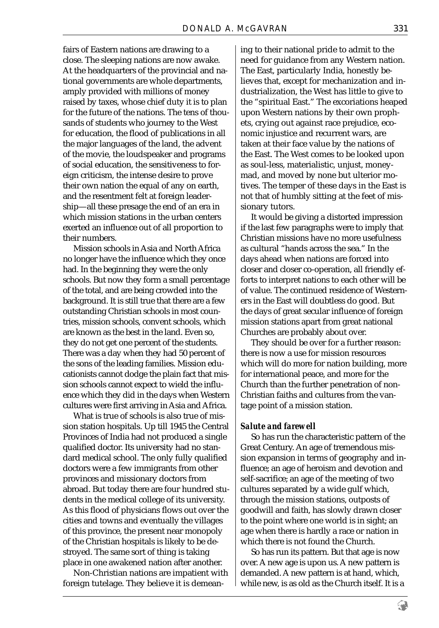fairs of Eastern nations are drawing to a close. The sleeping nations are now awake. At the headquarters of the provincial and national governments are whole departments, amply provided with millions of money raised by taxes, whose chief duty it is to plan for the future of the nations. The tens of thousands of students who journey to the West for education, the flood of publications in all the major languages of the land, the advent of the movie, the loudspeaker and programs of social education, the sensitiveness to foreign criticism, the intense desire to prove their own nation the equal of any on earth, and the resentment felt at foreign leadership—all these presage the end of an era in which mission stations in the urban centers exerted an influence out of all proportion to their numbers.

Mission schools in Asia and North Africa no longer have the influence which they once had. In the beginning they were the only schools. But now they form a small percentage of the total, and are being crowded into the background. It is still true that there are a few outstanding Christian schools in most countries, mission schools, convent schools, which are known as the best in the land. Even so, they do not get one percent of the students. There was a day when they had 50 percent of the sons of the leading families. Mission educationists cannot dodge the plain fact that mission schools cannot expect to wield the influence which they did in the days when Western cultures were first arriving in Asia and Africa.

What is true of schools is also true of mission station hospitals. Up till 1945 the Central Provinces of India had not produced a single qualified doctor. Its university had no standard medical school. The only fully qualified doctors were a few immigrants from other provinces and missionary doctors from abroad. But today there are four hundred students in the medical college of its university. As this flood of physicians flows out over the cities and towns and eventually the villages of this province, the present near monopoly of the Christian hospitals is likely to be destroyed. The same sort of thing is taking place in one awakened nation after another.

Non-Christian nations are impatient with foreign tutelage. They believe it is demeaning to their national pride to admit to the need for guidance from any Western nation. The East, particularly India, honestly believes that, except for mechanization and industrialization, the West has little to give to the "spiritual East." The excoriations heaped upon Western nations by their own prophets, crying out against race prejudice, economic injustice and recurrent wars, are taken at their face value by the nations of the East. The West comes to be looked upon as soul-less, materialistic, unjust, moneymad, and moved by none but ulterior motives. The temper of these days in the East is not that of humbly sitting at the feet of missionary tutors.

It would be giving a distorted impression if the last few paragraphs were to imply that Christian missions have no more usefulness as cultural "hands across the sea." In the days ahead when nations are forced into closer and closer co-operation, all friendly efforts to interpret nations to each other will be of value. The continued residence of Westerners in the East will doubtless do good. But the days of great secular influence of foreign mission stations apart from great national Churches are probably about over.

They should be over for a further reason: there is now a use for mission resources which will do more for nation building, more for international peace, and more for the Church than the further penetration of non-Christian faiths and cultures from the vantage point of a mission station.

#### *Salute and farewell*

So has run the characteristic pattern of the Great Century. An age of tremendous mission expansion in terms of geography and influence; an age of heroism and devotion and self-sacrifice; an age of the meeting of two cultures separated by a wide gulf which, through the mission stations, outposts of goodwill and faith, has slowly drawn closer to the point where one world is in sight; an age when there is hardly a race or nation in which there is not found the Church.

So has run its pattern. But that age is now over. A new age is upon us. A new pattern is demanded. A new pattern is at hand, which, while new, is as old as the Church itself. It is a

 $\bigcirc$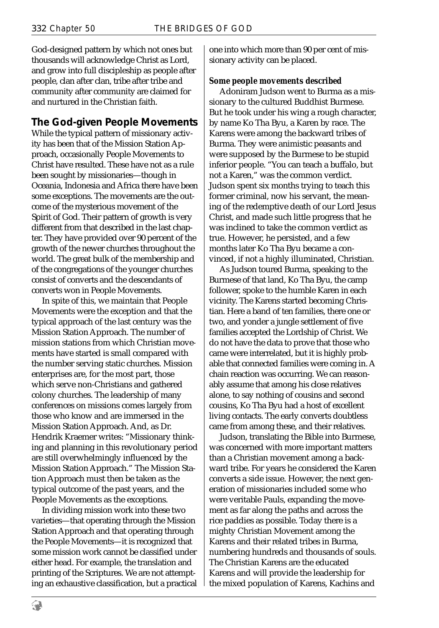God-designed pattern by which not ones but thousands will acknowledge Christ as Lord, and grow into full discipleship as people after people, clan after clan, tribe after tribe and community after community are claimed for and nurtured in the Christian faith.

# **The God-given People Movements**

While the typical pattern of missionary activity has been that of the Mission Station Approach, occasionally People Movements to Christ have resulted. These have not as a rule been sought by missionaries—though in Oceania, Indonesia and Africa there have been some exceptions. The movements are the outcome of the mysterious movement of the Spirit of God. Their pattern of growth is very different from that described in the last chapter. They have provided over 90 percent of the growth of the newer churches throughout the world. The great bulk of the membership and of the congregations of the younger churches consist of converts and the descendants of converts won in People Movements.

In spite of this, we maintain that People Movements were the exception and that the typical approach of the last century was the Mission Station Approach. The number of mission stations from which Christian movements have started is small compared with the number serving static churches. Mission enterprises are, for the most part, those which serve non-Christians and gathered colony churches. The leadership of many conferences on missions comes largely from those who know and are immersed in the Mission Station Approach. And, as Dr. Hendrik Kraemer writes: "Missionary thinking and planning in this revolutionary period are still overwhelmingly influenced by the Mission Station Approach." The Mission Station Approach must then be taken as the typical outcome of the past years, and the People Movements as the exceptions.

In dividing mission work into these two varieties—that operating through the Mission Station Approach and that operating through the People Movements—it is recognized that some mission work cannot be classified under either head. For example, the translation and printing of the Scriptures. We are not attempting an exhaustive classification, but a practical one into which more than 90 per cent of missionary activity can be placed.

#### *Some people movements described*

Adoniram Judson went to Burma as a missionary to the cultured Buddhist Burmese. But he took under his wing a rough character, by name Ko Tha Byu, a Karen by race. The Karens were among the backward tribes of Burma. They were animistic peasants and were supposed by the Burmese to be stupid inferior people. "You can teach a buffalo, but not a Karen," was the common verdict. Judson spent six months trying to teach this former criminal, now his servant, the meaning of the redemptive death of our Lord Jesus Christ, and made such little progress that he was inclined to take the common verdict as true. However, he persisted, and a few months later Ko Tha Byu became a convinced, if not a highly illuminated, Christian.

As Judson toured Burma, speaking to the Burmese of that land, Ko Tha Byu, the camp follower, spoke to the humble Karen in each vicinity. The Karens started becoming Christian. Here a band of ten families, there one or two, and yonder a jungle settlement of five families accepted the Lordship of Christ. We do not have the data to prove that those who came were interrelated, but it is highly probable that connected families were coming in. A chain reaction was occurring. We can reasonably assume that among his close relatives alone, to say nothing of cousins and second cousins, Ko Tha Byu had a host of excellent living contacts. The early converts doubtless came from among these, and their relatives.

Judson, translating the Bible into Burmese, was concerned with more important matters than a Christian movement among a backward tribe. For years he considered the Karen converts a side issue. However, the next generation of missionaries included some who were veritable Pauls, expanding the movement as far along the paths and across the rice paddies as possible. Today there is a mighty Christian Movement among the Karens and their related tribes in Burma, numbering hundreds and thousands of souls. The Christian Karens are the educated Karens and will provide the leadership for the mixed population of Karens, Kachins and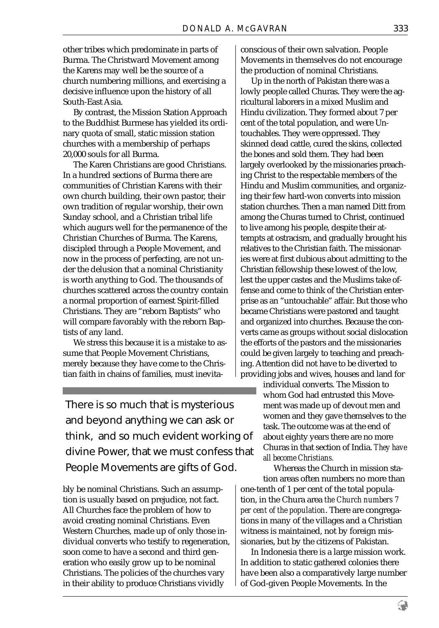other tribes which predominate in parts of Burma. The Christward Movement among the Karens may well be the source of a church numbering millions, and exercising a decisive influence upon the history of all South-East Asia.

By contrast, the Mission Station Approach to the Buddhist Burmese has yielded its ordinary quota of small, static mission station churches with a membership of perhaps 20,000 souls for all Burma.

The Karen Christians are good Christians. In a hundred sections of Burma there are communities of Christian Karens with their own church building, their own pastor, their own tradition of regular worship, their own Sunday school, and a Christian tribal life which augurs well for the permanence of the Christian Churches of Burma. The Karens, discipled through a People Movement, and now in the process of perfecting, are not under the delusion that a nominal Christianity is worth anything to God. The thousands of churches scattered across the country contain a normal proportion of earnest Spirit-filled Christians. They are "reborn Baptists" who will compare favorably with the reborn Baptists of any land.

We stress this because it is a mistake to assume that People Movement Christians, merely because they have come to the Christian faith in chains of families, must inevita-

There is so much that is mysterious and beyond anything we can ask or think, and so much evident working of divine Power, that we must confess that People Movements are gifts of God.

bly be nominal Christians. Such an assumption is usually based on prejudice, not fact. All Churches face the problem of how to avoid creating nominal Christians. Even Western Churches, made up of only those individual converts who testify to regeneration, soon come to have a second and third generation who easily grow up to be nominal Christians. The policies of the churches vary in their ability to produce Christians vividly

conscious of their own salvation. People Movements in themselves do not encourage the production of nominal Christians.

Up in the north of Pakistan there was a lowly people called Churas. They were the agricultural laborers in a mixed Muslim and Hindu civilization. They formed about 7 per cent of the total population, and were Untouchables. They were oppressed. They skinned dead cattle, cured the skins, collected the bones and sold them. They had been largely overlooked by the missionaries preaching Christ to the respectable members of the Hindu and Muslim communities, and organizing their few hard-won converts into mission station churches. Then a man named Ditt from among the Churas turned to Christ, continued to live among his people, despite their attempts at ostracism, and gradually brought his relatives to the Christian faith. The missionaries were at first dubious about admitting to the Christian fellowship these lowest of the low, lest the upper castes and the Muslims take offense and come to think of the Christian enterprise as an "untouchable" affair. But those who became Christians were pastored and taught and organized into churches. Because the converts came as groups without social dislocation the efforts of the pastors and the missionaries could be given largely to teaching and preaching. Attention did not have to be diverted to providing jobs and wives, houses and land for

individual converts. The Mission to whom God had entrusted this Movement was made up of devout men and women and they gave themselves to the task. The outcome was at the end of about eighty years there are no more Churas in that section of India. *They have all become Christians.*

Whereas the Church in mission station areas often numbers no more than one-tenth of 1 per cent of the total population, in the Chura area *the Church numbers 7 per cent of the population*. There are congregations in many of the villages and a Christian witness is maintained, not by foreign missionaries, but by the citizens of Pakistan.

In Indonesia there is a large mission work. In addition to static gathered colonies there have been also a comparatively large number of God-given People Movements. In the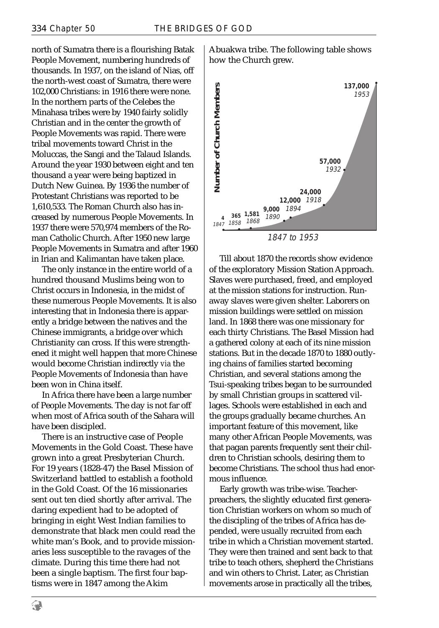north of Sumatra there is a flourishing Batak People Movement, numbering hundreds of thousands. In 1937, on the island of Nias, off the north-west coast of Sumatra, there were 102,000 Christians: in 1916 there were none. In the northern parts of the Celebes the Minahasa tribes were by 1940 fairly solidly Christian and in the center the growth of People Movements was rapid. There were tribal movements toward Christ in the Moluccas, the Sangi and the Talaud Islands. Around the year 1930 between eight and ten thousand a year were being baptized in Dutch New Guinea. By 1936 the number of Protestant Christians was reported to be 1,610,533. The Roman Church also has increased by numerous People Movements. In 1937 there were 570,974 members of the Roman Catholic Church. After 1950 new large People Movements in Sumatra and after 1960 in Irian and Kalimantan have taken place.

The only instance in the entire world of a hundred thousand Muslims being won to Christ occurs in Indonesia, in the midst of these numerous People Movements. It is also interesting that in Indonesia there is apparently a bridge between the natives and the Chinese immigrants, a bridge over which Christianity can cross. If this were strengthened it might well happen that more Chinese would become Christian indirectly *via* the People Movements of Indonesia than have been won in China itself.

In Africa there have been a large number of People Movements. The day is not far off when most of Africa south of the Sahara will have been discipled.

There is an instructive case of People Movements in the Gold Coast. These have grown into a great Presbyterian Church. For 19 years (1828-47) the Basel Mission of Switzerland battled to establish a foothold in the Gold Coast. Of the 16 missionaries sent out ten died shortly after arrival. The daring expedient had to be adopted of bringing in eight West Indian families to demonstrate that black men could read the white man's Book, and to provide missionaries less susceptible to the ravages of the climate. During this time there had not been a single baptism. The first four baptisms were in 1847 among the Akim

Abuakwa tribe. The following table shows how the Church grew.



Till about 1870 the records show evidence of the exploratory Mission Station Approach. Slaves were purchased, freed, and employed at the mission stations for instruction. Runaway slaves were given shelter. Laborers on mission buildings were settled on mission land. In 1868 there was one missionary for each thirty Christians. The Basel Mission had a gathered colony at each of its nine mission stations. But in the decade 1870 to 1880 outlying chains of families started becoming Christian, and several stations among the Tsui-speaking tribes began to be surrounded by small Christian groups in scattered villages. Schools were established in each and the groups gradually became churches. An important feature of this movement, like many other African People Movements, was that pagan parents frequently sent their children to Christian schools, desiring them to become Christians. The school thus had enor-

Early growth was tribe-wise. Teacherpreachers, the slightly educated first generation Christian workers on whom so much of the discipling of the tribes of Africa has depended, were usually recruited from each tribe in which a Christian movement started. They were then trained and sent back to that tribe to teach others, shepherd the Christians and win others to Christ. Later, as Christian movements arose in practically all the tribes,

mous influence.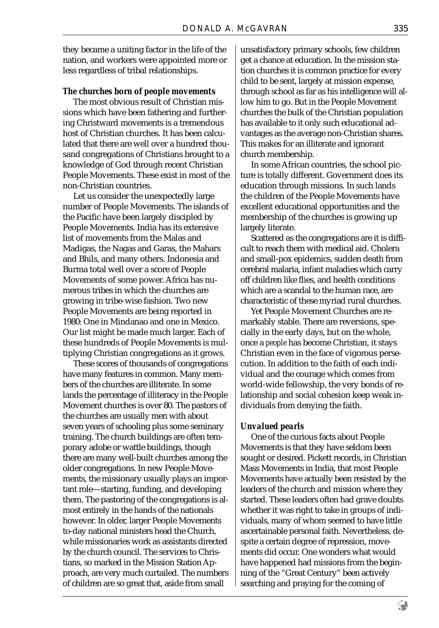they became a uniting factor in the life of the nation, and workers were appointed more or less regardless of tribal relationships.

#### *The churches born of people movements*

The most obvious result of Christian missions which have been fathering and furthering Christward movements is a tremendous host of Christian churches. It has been calculated that there are well over a hundred thousand congregations of Christians brought to a knowledge of God through recent Christian People Movements. These exist in most of the non-Christian countries.

Let us consider the unexpectedly large number of People Movements. The islands of the Pacific have been largely discipled by People Movements. India has its extensive list of movements from the Malas and Madigas, the Nagas and Garas, the Mahars and Bhils, and many others. Indonesia and Burma total well over a score of People Movements of some power. Africa has numerous tribes in which the churches are growing in tribe-wise fashion. Two new People Movements are being reported in 1980: One in Mindanao and one in Mexico. Our list might be made much larger. Each of these hundreds of People Movements is multiplying Christian congregations as it grows.

These scores of thousands of congregations have many features in common. Many members of the churches are illiterate. In some lands the percentage of illiteracy in the People Movement churches is over 80. The pastors of the churches are usually men with about seven years of schooling plus some seminary training. The church buildings are often temporary adobe or wattle buildings, though there are many well-built churches among the older congregations. In new People Movements, the missionary usually plays an important role—starting, funding, and developing them. The pastoring of the congregations is almost entirely in the hands of the nationals however. In older, larger People Movements to-day national ministers head the Church, while missionaries work as assistants directed by the church council. The services to Christians, so marked in the Mission Station Approach, are very much curtailed. The numbers of children are so great that, aside from small

unsatisfactory primary schools, few children get a chance at education. In the mission station churches it is common practice for every child to be sent, largely at mission expense, through school as far as his intelligence will allow him to go. But in the People Movement churches the bulk of the Christian population has available to it only such educational advantages as the average non-Christian shares. This makes for an illiterate and ignorant church membership.

In some African countries, the school picture is totally different. Government does its education through missions. In such lands the children of the People Movements have excellent educational opportunities and the membership of the churches is growing up largely literate.

Scattered as the congregations are it is difficult to reach them with medical aid. Cholera and small-pox epidemics, sudden death from cerebral malaria, infant maladies which carry off children like flies, and health conditions which are a scandal to the human race, are characteristic of these myriad rural churches.

Yet People Movement Churches are remarkably stable. There are reversions, specially in the early days, but on the whole, once a *people* has become Christian, it stays Christian even in the face of vigorous persecution. In addition to the faith of each individual and the courage which comes from world-wide fellowship, the very bonds of relationship and social cohesion keep weak individuals from denying the faith.

#### *Unvalued pearls*

One of the curious facts about People Movements is that they have seldom been sought or desired. Pickett records, in Christian Mass Movements in India, that most People Movements have actually been resisted by the leaders of the church and mission where they started. These leaders often had grave doubts whether it was right to take in groups of individuals, many of whom seemed to have little ascertainable personal faith. Nevertheless, despite a certain degree of repression, movements did occur. One wonders what would have happened had missions from the beginning of the "Great Century" been actively searching and praying for the coming of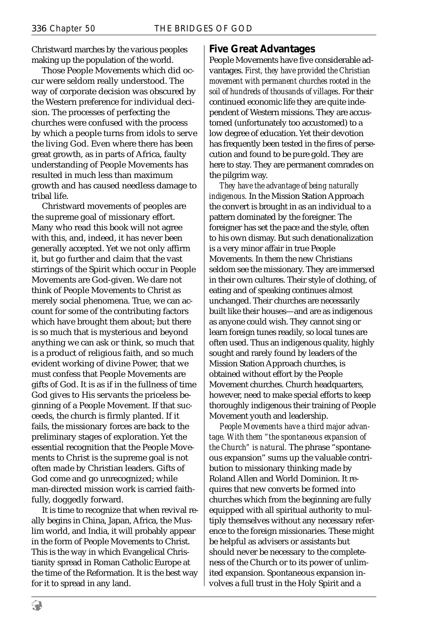Christward marches by the various peoples making up the population of the world.

Those People Movements which did occur were seldom really understood. The way of corporate decision was obscured by the Western preference for individual decision. The processes of perfecting the churches were confused with the process by which a people turns from idols to serve the living God. Even where there has been great growth, as in parts of Africa, faulty understanding of People Movements has resulted in much less than maximum growth and has caused needless damage to tribal life.

Christward movements of peoples are the supreme goal of missionary effort. Many who read this book will not agree with this, and, indeed, it has never been generally accepted. Yet we not only affirm it, but go further and claim that the vast stirrings of the Spirit which occur in People Movements are God-given. We dare not think of People Movements to Christ as merely social phenomena. True, we can account for some of the contributing factors which have brought them about; but there is so much that is mysterious and beyond anything we can ask or think, so much that is a product of religious faith, and so much evident working of divine Power, that we must confess that People Movements are gifts of God. It is as if in the fullness of time God gives to His servants the priceless beginning of a People Movement. If that succeeds, the church is firmly planted. If it fails, the missionary forces are back to the preliminary stages of exploration. Yet the essential recognition that the People Movements to Christ is the supreme goal is not often made by Christian leaders. Gifts of God come and go unrecognized; while man-directed mission work is carried faithfully, doggedly forward.

It is time to recognize that when revival really begins in China, Japan, Africa, the Muslim world, and India, it will probably appear in the form of People Movements to Christ. This is the way in which Evangelical Christianity spread in Roman Catholic Europe at the time of the Reformation. It is the best way for it to spread in any land.

# **Five Great Advantages**

People Movements have five considerable advantages. *First, they have provided the Christian movement with permanent churches rooted in the soil of hundreds of thousands of villages*. For their continued economic life they are quite independent of Western missions. They are accustomed (unfortunately too accustomed) to a low degree of education. Yet their devotion has frequently been tested in the fires of persecution and found to be pure gold. They are here to stay. They are permanent comrades on the pilgrim way.

*They have the advantage of being naturally indigenous.* In the Mission Station Approach the convert is brought in as an individual to a pattern dominated by the foreigner. The foreigner has set the pace and the style, often to his own dismay. But such denationalization is a very minor affair in true People Movements. In them the new Christians seldom see the missionary. They are immersed in their own cultures. Their style of clothing, of eating and of speaking continues almost unchanged. Their churches are necessarily built like their houses—and are as indigenous as anyone could wish. They cannot sing or learn foreign tunes readily, so local tunes are often used. Thus an indigenous quality, highly sought and rarely found by leaders of the Mission Station Approach churches, is obtained without effort by the People Movement churches. Church headquarters, however, need to make special efforts to keep thoroughly indigenous their training of People Movement youth and leadership.

*People Movements have a third major advantage. With them "the spontaneous expansion of the Church" is natural.* The phrase "spontaneous expansion" sums up the valuable contribution to missionary thinking made by Roland Allen and World Dominion. It requires that new converts be formed into churches which from the beginning are fully equipped with all spiritual authority to multiply themselves without any necessary reference to the foreign missionaries. These might be helpful as advisers or assistants but should never be necessary to the completeness of the Church or to its power of unlimited expansion. Spontaneous expansion involves a full trust in the Holy Spirit and a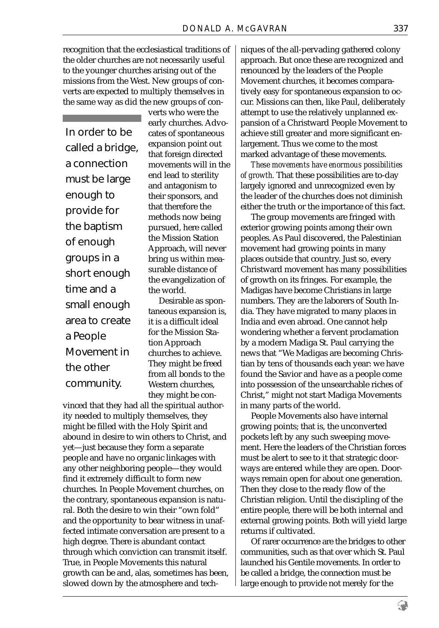recognition that the ecclesiastical traditions of the older churches are not necessarily useful to the younger churches arising out of the missions from the West. New groups of converts are expected to multiply themselves in the same way as did the new groups of con-

In order to be called a bridge, a connection must be large enough to provide for the baptism of enough groups in a short enough time and a small enough area to create a People Movement in the other community.

verts who were the early churches. Advocates of spontaneous expansion point out that foreign directed movements will in the end lead to sterility and antagonism to their sponsors, and that therefore the methods now being pursued, here called the Mission Station Approach, will never bring us within measurable distance of the evangelization of the world.

Desirable as spontaneous expansion is, it is a difficult ideal for the Mission Station Approach churches to achieve. They might be freed from all bonds to the Western churches, they might be con-

vinced that they had all the spiritual authority needed to multiply themselves, they might be filled with the Holy Spirit and abound in desire to win others to Christ, and yet—just because they form a separate people and have no organic linkages with any other neighboring people—they would find it extremely difficult to form new churches. In People Movement churches, on the contrary, spontaneous expansion is natural. Both the desire to win their "own fold" and the opportunity to bear witness in unaffected intimate conversation are present to a high degree. There is abundant contact through which conviction can transmit itself. True, in People Movements this natural growth can be and, alas, sometimes has been, slowed down by the atmosphere and techniques of the all-pervading gathered colony approach. But once these are recognized and renounced by the leaders of the People Movement churches, it becomes comparatively easy for spontaneous expansion to occur. Missions can then, like Paul, deliberately attempt to use the relatively unplanned expansion of a Christward People Movement to achieve still greater and more significant enlargement. Thus we come to the most marked advantage of these movements.

*These movements have enormous possibilities of growth.* That these possibilities are to-day largely ignored and unrecognized even by the leader of the churches does not diminish either the truth or the importance of this fact.

The group movements are fringed with exterior growing points among their own peoples. As Paul discovered, the Palestinian movement had growing points in many places outside that country. Just so, every Christward movement has many possibilities of growth on its fringes. For example, the Madigas have become Christians in large numbers. They are the laborers of South India. They have migrated to many places in India and even abroad. One cannot help wondering whether a fervent proclamation by a modern Madiga St. Paul carrying the news that "We Madigas are becoming Christian by tens of thousands each year: we have found the Savior and have as a people come into possession of the unsearchable riches of Christ," might not start Madiga Movements in many parts of the world.

People Movements also have internal growing points; that is, the unconverted pockets left by any such sweeping movement. Here the leaders of the Christian forces must be alert to see to it that strategic doorways are entered while they are open. Doorways remain open for about one generation. Then they close to the ready flow of the Christian religion. Until the discipling of the entire people, there will be both internal and external growing points. Both will yield large returns if cultivated.

Of rarer occurrence are the bridges to other communities, such as that over which St. Paul launched his Gentile movements. In order to be called a bridge, the connection must be large enough to provide not merely for the